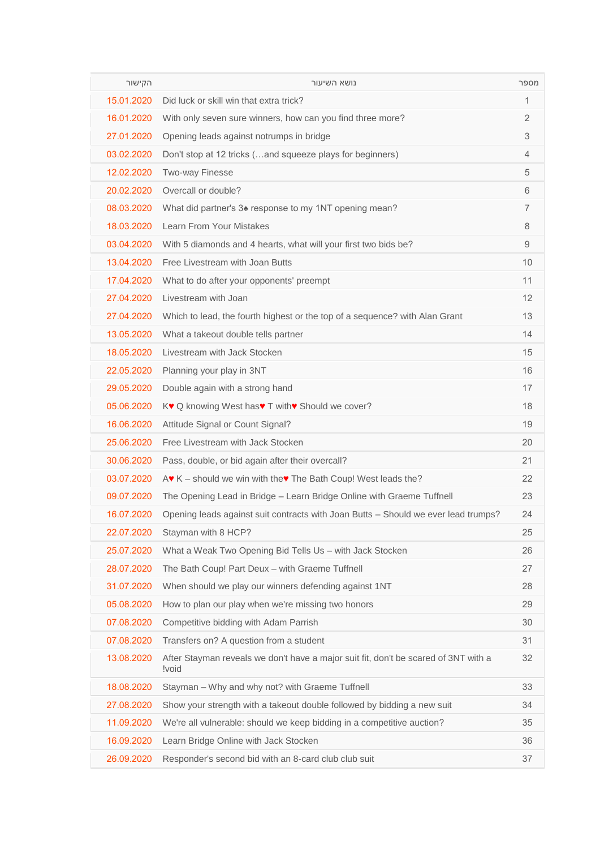| הקישור     | נושא השיעור                                                                                  | מספר           |
|------------|----------------------------------------------------------------------------------------------|----------------|
| 15.01.2020 | Did luck or skill win that extra trick?                                                      | 1              |
| 16.01.2020 | With only seven sure winners, how can you find three more?                                   | 2              |
| 27.01.2020 | Opening leads against notrumps in bridge                                                     | 3              |
| 03.02.2020 | Don't stop at 12 tricks (and squeeze plays for beginners)                                    | 4              |
| 12.02.2020 | <b>Two-way Finesse</b>                                                                       | 5              |
| 20.02.2020 | Overcall or double?                                                                          | 6              |
| 08.03.2020 | What did partner's 3 <sup>*</sup> response to my 1NT opening mean?                           | $\overline{7}$ |
| 18.03.2020 | Learn From Your Mistakes                                                                     | 8              |
| 03.04.2020 | With 5 diamonds and 4 hearts, what will your first two bids be?                              | 9              |
| 13.04.2020 | Free Livestream with Joan Butts                                                              | 10             |
| 17.04.2020 | What to do after your opponents' preempt                                                     | 11             |
| 27.04.2020 | Livestream with Joan                                                                         | 12             |
| 27.04.2020 | Which to lead, the fourth highest or the top of a sequence? with Alan Grant                  | 13             |
| 13.05.2020 | What a takeout double tells partner                                                          | 14             |
| 18.05.2020 | Livestream with Jack Stocken                                                                 | 15             |
| 22.05.2020 | Planning your play in 3NT                                                                    | 16             |
| 29.05.2020 | Double again with a strong hand                                                              | 17             |
| 05.06.2020 | K♥ Q knowing West has♥ T with♥ Should we cover?                                              | 18             |
| 16.06.2020 | Attitude Signal or Count Signal?                                                             | 19             |
| 25.06.2020 | Free Livestream with Jack Stocken                                                            | 20             |
| 30.06.2020 | Pass, double, or bid again after their overcall?                                             | 21             |
| 03.07.2020 | $A \cdot K$ – should we win with the $\cdot$ The Bath Coup! West leads the?                  | 22             |
| 09.07.2020 | The Opening Lead in Bridge - Learn Bridge Online with Graeme Tuffnell                        | 23             |
| 16.07.2020 | Opening leads against suit contracts with Joan Butts - Should we ever lead trumps?           | 24             |
| 22.07.2020 | Stayman with 8 HCP?                                                                          | 25             |
| 25.07.2020 | What a Weak Two Opening Bid Tells Us - with Jack Stocken                                     | 26             |
| 28.07.2020 | The Bath Coup! Part Deux - with Graeme Tuffnell                                              | 27             |
| 31.07.2020 | When should we play our winners defending against 1NT                                        | 28             |
| 05.08.2020 | How to plan our play when we're missing two honors                                           | 29             |
| 07.08.2020 | Competitive bidding with Adam Parrish                                                        | 30             |
| 07.08.2020 | Transfers on? A question from a student                                                      | 31             |
| 13.08.2020 | After Stayman reveals we don't have a major suit fit, don't be scared of 3NT with a<br>!void | 32             |
| 18.08.2020 | Stayman - Why and why not? with Graeme Tuffnell                                              | 33             |
| 27.08.2020 | Show your strength with a takeout double followed by bidding a new suit                      | 34             |
| 11.09.2020 | We're all vulnerable: should we keep bidding in a competitive auction?                       | 35             |
| 16.09.2020 | Learn Bridge Online with Jack Stocken                                                        | 36             |
| 26.09.2020 | Responder's second bid with an 8-card club club suit                                         | 37             |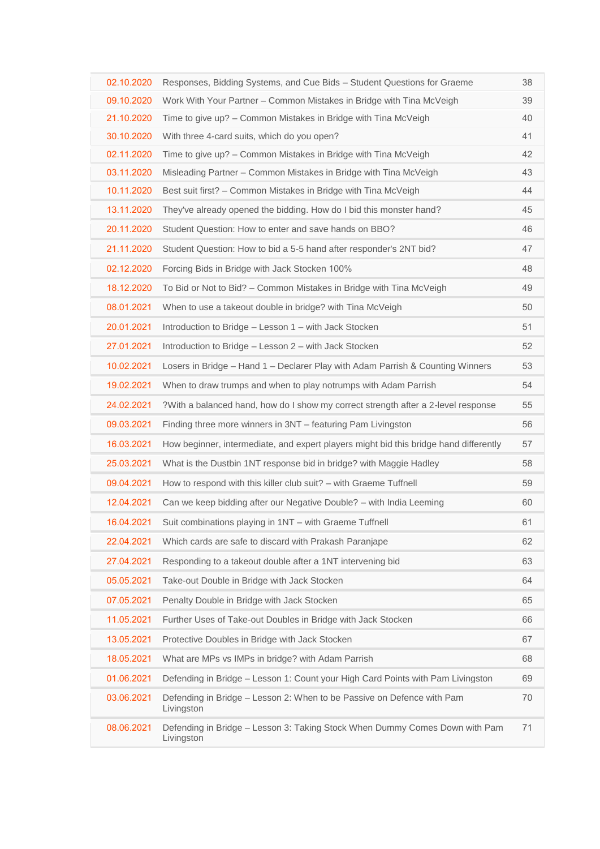| 02.10.2020 | Responses, Bidding Systems, and Cue Bids - Student Questions for Graeme                   | 38 |
|------------|-------------------------------------------------------------------------------------------|----|
| 09.10.2020 | Work With Your Partner – Common Mistakes in Bridge with Tina McVeigh                      | 39 |
| 21.10.2020 | Time to give up? – Common Mistakes in Bridge with Tina McVeigh                            | 40 |
| 30.10.2020 | With three 4-card suits, which do you open?                                               | 41 |
| 02.11.2020 | Time to give up? – Common Mistakes in Bridge with Tina McVeigh                            | 42 |
| 03.11.2020 | Misleading Partner - Common Mistakes in Bridge with Tina McVeigh                          | 43 |
| 10.11.2020 | Best suit first? - Common Mistakes in Bridge with Tina McVeigh                            | 44 |
| 13.11.2020 | They've already opened the bidding. How do I bid this monster hand?                       | 45 |
| 20.11.2020 | Student Question: How to enter and save hands on BBO?                                     | 46 |
| 21.11.2020 | Student Question: How to bid a 5-5 hand after responder's 2NT bid?                        | 47 |
| 02.12.2020 | Forcing Bids in Bridge with Jack Stocken 100%                                             | 48 |
| 18.12.2020 | To Bid or Not to Bid? - Common Mistakes in Bridge with Tina McVeigh                       | 49 |
| 08.01.2021 | When to use a takeout double in bridge? with Tina McVeigh                                 | 50 |
| 20.01.2021 | Introduction to Bridge - Lesson 1 - with Jack Stocken                                     | 51 |
| 27.01.2021 | Introduction to Bridge - Lesson 2 - with Jack Stocken                                     | 52 |
| 10.02.2021 | Losers in Bridge – Hand 1 – Declarer Play with Adam Parrish & Counting Winners            | 53 |
| 19.02.2021 | When to draw trumps and when to play notrumps with Adam Parrish                           | 54 |
| 24.02.2021 | ?With a balanced hand, how do I show my correct strength after a 2-level response         | 55 |
| 09.03.2021 | Finding three more winners in 3NT - featuring Pam Livingston                              | 56 |
| 16.03.2021 | How beginner, intermediate, and expert players might bid this bridge hand differently     | 57 |
| 25.03.2021 | What is the Dustbin 1NT response bid in bridge? with Maggie Hadley                        | 58 |
| 09.04.2021 | How to respond with this killer club suit? – with Graeme Tuffnell                         | 59 |
| 12.04.2021 | Can we keep bidding after our Negative Double? - with India Leeming                       | 60 |
| 16.04.2021 | Suit combinations playing in 1NT - with Graeme Tuffnell                                   | 61 |
| 22.04.2021 | Which cards are safe to discard with Prakash Paranjape                                    | 62 |
| 27.04.2021 | Responding to a takeout double after a 1NT intervening bid                                | 63 |
| 05.05.2021 | Take-out Double in Bridge with Jack Stocken                                               | 64 |
| 07.05.2021 | Penalty Double in Bridge with Jack Stocken                                                | 65 |
| 11.05.2021 | Further Uses of Take-out Doubles in Bridge with Jack Stocken                              | 66 |
| 13.05.2021 | Protective Doubles in Bridge with Jack Stocken                                            | 67 |
| 18.05.2021 | What are MPs vs IMPs in bridge? with Adam Parrish                                         | 68 |
| 01.06.2021 | Defending in Bridge - Lesson 1: Count your High Card Points with Pam Livingston           | 69 |
| 03.06.2021 | Defending in Bridge - Lesson 2: When to be Passive on Defence with Pam<br>Livingston      | 70 |
| 08.06.2021 | Defending in Bridge - Lesson 3: Taking Stock When Dummy Comes Down with Pam<br>Livingston | 71 |